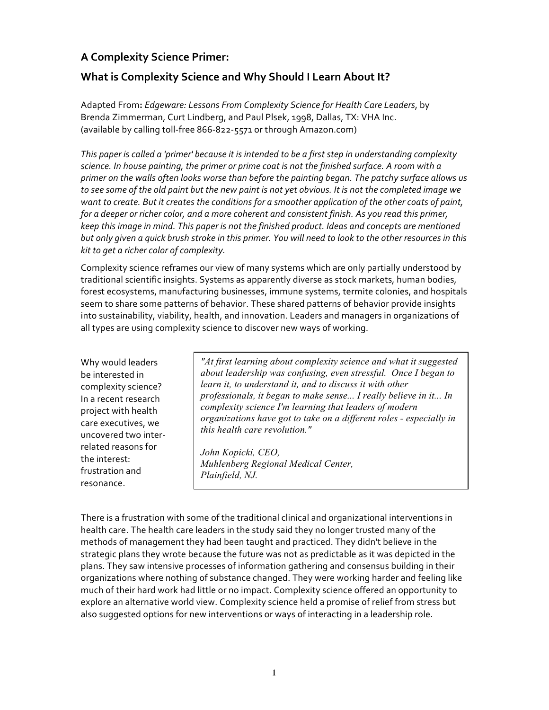### **What is Complexity Science and Why Should I Learn About It?**

Adapted From: Edgeware: Lessons From Complexity Science for Health Care Leaders, by Brenda Zimmerman, Curt Lindberg, and Paul Plsek, 1998, Dallas, TX: VHA Inc. (available by calling toll-free 866-822-5571 or through Amazon.com)

*This* paper is called a 'primer' because it is intended to be a first step in understanding complexity *science. In house painting, the primer or prime coat is not the finished surface. A room with a* primer on the walls often looks worse than before the painting began. The patchy surface allows us to see some of the old paint but the new paint is not yet obvious. It is not the completed image we want to create. But it creates the conditions for a smoother application of the other coats of paint, *for a deeper or richer color, and a more coherent and consistent finish. As you read this primer,* keep this image in mind. This paper is not the finished product. Ideas and concepts are mentioned *but* only given a quick brush stroke in this primer. You will need to look to the other resources in this *kit to get a richer color of complexity.* 

Complexity science reframes our view of many systems which are only partially understood by traditional scientific insights. Systems as apparently diverse as stock markets, human bodies, forest ecosystems, manufacturing businesses, immune systems, termite colonies, and hospitals seem to share some patterns of behavior. These shared patterns of behavior provide insights into sustainability, viability, health, and innovation. Leaders and managers in organizations of all types are using complexity science to discover new ways of working.

Why would leaders be interested in complexity science? In a recent research project with health care executives, we uncovered two interrelated reasons for the interest: frustration and resonance. 

*"At first learning about complexity science and what it suggested about leadership was confusing, even stressful. Once I began to learn it, to understand it, and to discuss it with other professionals, it began to make sense... I really believe in it... In complexity science I'm learning that leaders of modern organizations have got to take on a different roles - especially in this health care revolution."*

*John Kopicki, CEO, Muhlenberg Regional Medical Center, Plainfield, NJ.*

There is a frustration with some of the traditional clinical and organizational interventions in health care. The health care leaders in the study said they no longer trusted many of the methods of management they had been taught and practiced. They didn't believe in the strategic plans they wrote because the future was not as predictable as it was depicted in the plans. They saw intensive processes of information gathering and consensus building in their organizations where nothing of substance changed. They were working harder and feeling like much of their hard work had little or no impact. Complexity science offered an opportunity to explore an alternative world view. Complexity science held a promise of relief from stress but also suggested options for new interventions or ways of interacting in a leadership role.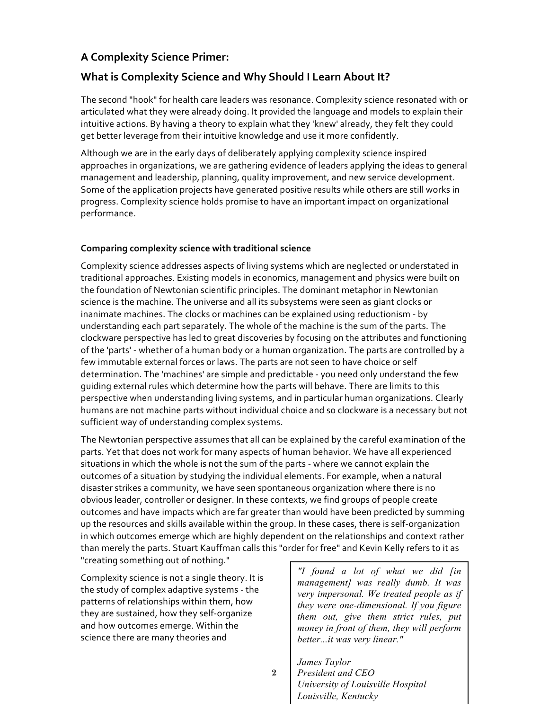### **What is Complexity Science and Why Should I Learn About It?**

The second "hook" for health care leaders was resonance. Complexity science resonated with or articulated what they were already doing. It provided the language and models to explain their intuitive actions. By having a theory to explain what they 'knew' already, they felt they could get better leverage from their intuitive knowledge and use it more confidently.

Although we are in the early days of deliberately applying complexity science inspired approaches in organizations, we are gathering evidence of leaders applying the ideas to general management and leadership, planning, quality improvement, and new service development. Some of the application projects have generated positive results while others are still works in progress. Complexity science holds promise to have an important impact on organizational performance.

#### **Comparing complexity science with traditional science**

Complexity science addresses aspects of living systems which are neglected or understated in traditional approaches. Existing models in economics, management and physics were built on the foundation of Newtonian scientific principles. The dominant metaphor in Newtonian science is the machine. The universe and all its subsystems were seen as giant clocks or inanimate machines. The clocks or machines can be explained using reductionism - by understanding each part separately. The whole of the machine is the sum of the parts. The clockware perspective has led to great discoveries by focusing on the attributes and functioning of the 'parts' - whether of a human body or a human organization. The parts are controlled by a few immutable external forces or laws. The parts are not seen to have choice or self determination. The 'machines' are simple and predictable - you need only understand the few quiding external rules which determine how the parts will behave. There are limits to this perspective when understanding living systems, and in particular human organizations. Clearly humans are not machine parts without individual choice and so clockware is a necessary but not sufficient way of understanding complex systems.

The Newtonian perspective assumes that all can be explained by the careful examination of the parts. Yet that does not work for many aspects of human behavior. We have all experienced situations in which the whole is not the sum of the parts - where we cannot explain the outcomes of a situation by studying the individual elements. For example, when a natural disaster strikes a community, we have seen spontaneous organization where there is no obvious leader, controller or designer. In these contexts, we find groups of people create outcomes and have impacts which are far greater than would have been predicted by summing up the resources and skills available within the group. In these cases, there is self-organization in which outcomes emerge which are highly dependent on the relationships and context rather than merely the parts. Stuart Kauffman calls this "order for free" and Kevin Kelly refers to it as "creating something out of nothing."

Complexity science is not a single theory. It is the study of complex adaptive systems - the patterns of relationships within them, how they are sustained, how they self-organize and how outcomes emerge. Within the science there are many theories and

*"I found a lot of what we did [in management] was really dumb. It was very impersonal. We treated people as if they were one-dimensional. If you figure them out, give them strict rules, put money in front of them, they will perform better...it was very linear."*

*James Taylor President and CEO University of Louisville Hospital Louisville, Kentucky*

**2**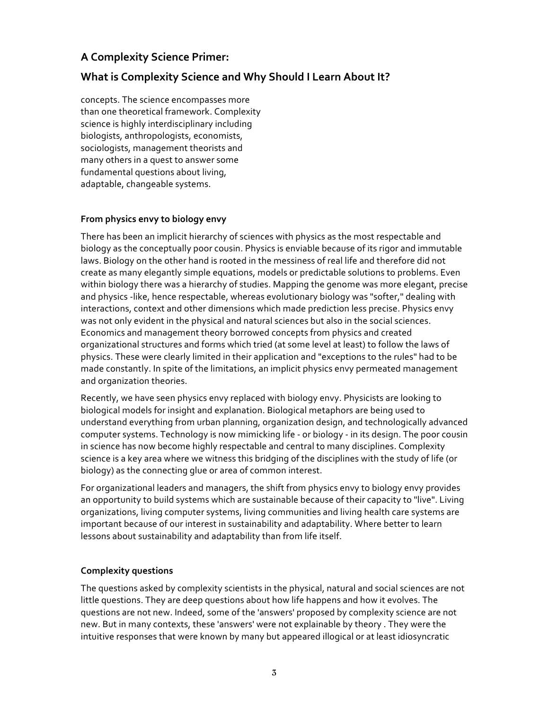## **What is Complexity Science and Why Should I Learn About It?**

concepts. The science encompasses more than one theoretical framework. Complexity science is highly interdisciplinary including biologists, anthropologists, economists, sociologists, management theorists and many others in a quest to answer some fundamental questions about living, adaptable, changeable systems.

#### From physics envy to biology envy

There has been an implicit hierarchy of sciences with physics as the most respectable and biology as the conceptually poor cousin. Physics is enviable because of its rigor and immutable laws. Biology on the other hand is rooted in the messiness of real life and therefore did not create as many elegantly simple equations, models or predictable solutions to problems. Even within biology there was a hierarchy of studies. Mapping the genome was more elegant, precise and physics -like, hence respectable, whereas evolutionary biology was "softer," dealing with interactions, context and other dimensions which made prediction less precise. Physics envy was not only evident in the physical and natural sciences but also in the social sciences. Economics and management theory borrowed concepts from physics and created organizational structures and forms which tried (at some level at least) to follow the laws of physics. These were clearly limited in their application and "exceptions to the rules" had to be made constantly. In spite of the limitations, an implicit physics envy permeated management and organization theories.

Recently, we have seen physics envy replaced with biology envy. Physicists are looking to biological models for insight and explanation. Biological metaphors are being used to understand everything from urban planning, organization design, and technologically advanced computer systems. Technology is now mimicking life - or biology - in its design. The poor cousin in science has now become highly respectable and central to many disciplines. Complexity science is a key area where we witness this bridging of the disciplines with the study of life (or biology) as the connecting glue or area of common interest.

For organizational leaders and managers, the shift from physics envy to biology envy provides an opportunity to build systems which are sustainable because of their capacity to "live". Living organizations, living computer systems, living communities and living health care systems are important because of our interest in sustainability and adaptability. Where better to learn lessons about sustainability and adaptability than from life itself.

#### **Complexity questions**

The questions asked by complexity scientists in the physical, natural and social sciences are not little questions. They are deep questions about how life happens and how it evolves. The questions are not new. Indeed, some of the 'answers' proposed by complexity science are not new. But in many contexts, these 'answers' were not explainable by theory. They were the intuitive responses that were known by many but appeared illogical or at least idiosyncratic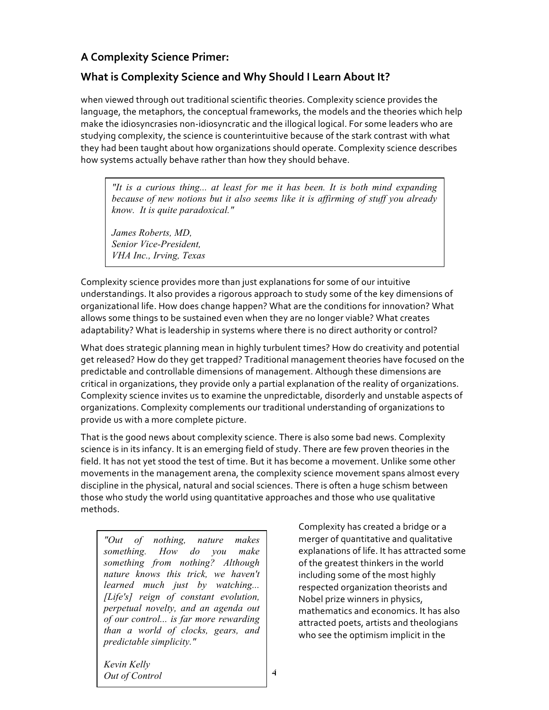### **What is Complexity Science and Why Should I Learn About It?**

when viewed through out traditional scientific theories. Complexity science provides the language, the metaphors, the conceptual frameworks, the models and the theories which help make the idiosyncrasies non-idiosyncratic and the illogical logical. For some leaders who are studying complexity, the science is counterintuitive because of the stark contrast with what they had been taught about how organizations should operate. Complexity science describes how systems actually behave rather than how they should behave.

*"It is a curious thing... at least for me it has been. It is both mind expanding because of new notions but it also seems like it is affirming of stuff you already know. It is quite paradoxical."*

*James Roberts, MD, Senior Vice-President, VHA Inc., Irving, Texas*

Complexity science provides more than just explanations for some of our intuitive understandings. It also provides a rigorous approach to study some of the key dimensions of organizational life. How does change happen? What are the conditions for innovation? What allows some things to be sustained even when they are no longer viable? What creates adaptability? What is leadership in systems where there is no direct authority or control?

What does strategic planning mean in highly turbulent times? How do creativity and potential get released? How do they get trapped? Traditional management theories have focused on the predictable and controllable dimensions of management. Although these dimensions are critical in organizations, they provide only a partial explanation of the reality of organizations. Complexity science invites us to examine the unpredictable, disorderly and unstable aspects of organizations. Complexity complements our traditional understanding of organizations to provide us with a more complete picture.

That is the good news about complexity science. There is also some bad news. Complexity science is in its infancy. It is an emerging field of study. There are few proven theories in the field. It has not yet stood the test of time. But it has become a movement. Unlike some other movements in the management arena, the complexity science movement spans almost every discipline in the physical, natural and social sciences. There is often a huge schism between those who study the world using quantitative approaches and those who use qualitative methods.

*"Out of nothing, nature makes something. How do you make something from nothing? Although nature knows this trick, we haven't learned much just by watching... [Life's] reign of constant evolution, perpetual novelty, and an agenda out of our control... is far more rewarding than a world of clocks, gears, and predictable simplicity."*

Complexity has created a bridge or a merger of quantitative and qualitative explanations of life. It has attracted some of the greatest thinkers in the world including some of the most highly respected organization theorists and Nobel prize winners in physics, mathematics and economics. It has also attracted poets, artists and theologians who see the optimism implicit in the

*Kevin Kelly Out of Control*

**4**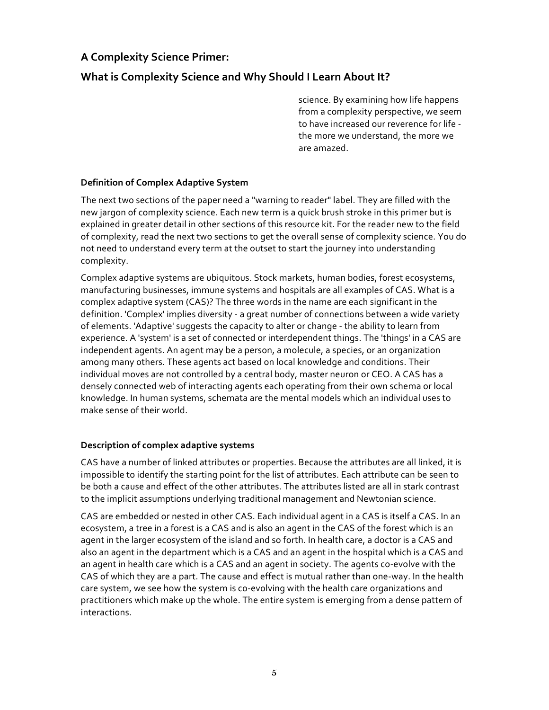# **What is Complexity Science and Why Should I Learn About It?**

science. By examining how life happens from a complexity perspective, we seem to have increased our reverence for life the more we understand, the more we are amazed.

#### **Definition of Complex Adaptive System**

The next two sections of the paper need a "warning to reader" label. They are filled with the new jargon of complexity science. Each new term is a quick brush stroke in this primer but is explained in greater detail in other sections of this resource kit. For the reader new to the field of complexity, read the next two sections to get the overall sense of complexity science. You do not need to understand every term at the outset to start the journey into understanding complexity.

Complex adaptive systems are ubiquitous. Stock markets, human bodies, forest ecosystems, manufacturing businesses, immune systems and hospitals are all examples of CAS. What is a complex adaptive system (CAS)? The three words in the name are each significant in the definition. 'Complex' implies diversity - a great number of connections between a wide variety of elements. 'Adaptive' suggests the capacity to alter or change - the ability to learn from experience. A 'system' is a set of connected or interdependent things. The 'things' in a CAS are independent agents. An agent may be a person, a molecule, a species, or an organization among many others. These agents act based on local knowledge and conditions. Their individual moves are not controlled by a central body, master neuron or CEO. A CAS has a densely connected web of interacting agents each operating from their own schema or local knowledge. In human systems, schemata are the mental models which an individual uses to make sense of their world.

#### **Description of complex adaptive systems**

CAS have a number of linked attributes or properties. Because the attributes are all linked, it is impossible to identify the starting point for the list of attributes. Each attribute can be seen to be both a cause and effect of the other attributes. The attributes listed are all in stark contrast to the implicit assumptions underlying traditional management and Newtonian science.

CAS are embedded or nested in other CAS. Each individual agent in a CAS is itself a CAS. In an ecosystem, a tree in a forest is a CAS and is also an agent in the CAS of the forest which is an agent in the larger ecosystem of the island and so forth. In health care, a doctor is a CAS and also an agent in the department which is a CAS and an agent in the hospital which is a CAS and an agent in health care which is a CAS and an agent in society. The agents co-evolve with the CAS of which they are a part. The cause and effect is mutual rather than one-way. In the health care system, we see how the system is co-evolving with the health care organizations and practitioners which make up the whole. The entire system is emerging from a dense pattern of interactions.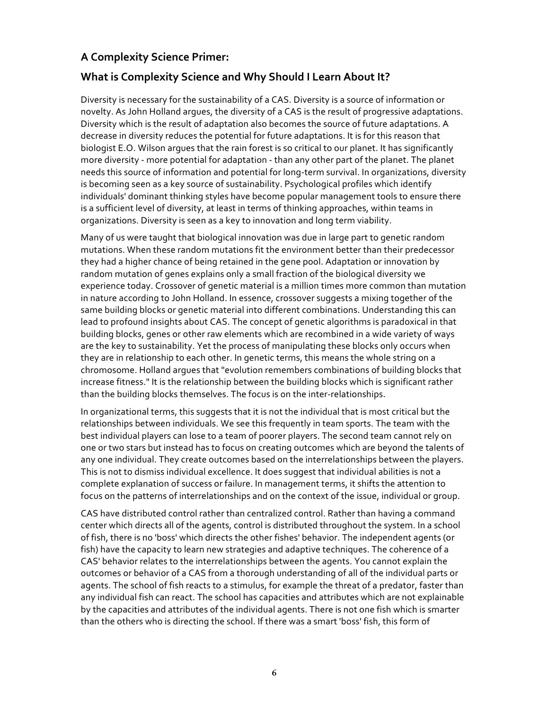## **What is Complexity Science and Why Should I Learn About It?**

Diversity is necessary for the sustainability of a CAS. Diversity is a source of information or novelty. As John Holland argues, the diversity of a CAS is the result of progressive adaptations. Diversity which is the result of adaptation also becomes the source of future adaptations. A decrease in diversity reduces the potential for future adaptations. It is for this reason that biologist E.O. Wilson argues that the rain forest is so critical to our planet. It has significantly more diversity - more potential for adaptation - than any other part of the planet. The planet needs this source of information and potential for long-term survival. In organizations, diversity is becoming seen as a key source of sustainability. Psychological profiles which identify individuals' dominant thinking styles have become popular management tools to ensure there is a sufficient level of diversity, at least in terms of thinking approaches, within teams in organizations. Diversity is seen as a key to innovation and long term viability.

Many of us were taught that biological innovation was due in large part to genetic random mutations. When these random mutations fit the environment better than their predecessor they had a higher chance of being retained in the gene pool. Adaptation or innovation by random mutation of genes explains only a small fraction of the biological diversity we experience today. Crossover of genetic material is a million times more common than mutation in nature according to John Holland. In essence, crossover suggests a mixing together of the same building blocks or genetic material into different combinations. Understanding this can lead to profound insights about CAS. The concept of genetic algorithms is paradoxical in that building blocks, genes or other raw elements which are recombined in a wide variety of ways are the key to sustainability. Yet the process of manipulating these blocks only occurs when they are in relationship to each other. In genetic terms, this means the whole string on a chromosome. Holland argues that "evolution remembers combinations of building blocks that increase fitness." It is the relationship between the building blocks which is significant rather than the building blocks themselves. The focus is on the inter-relationships.

In organizational terms, this suggests that it is not the individual that is most critical but the relationships between individuals. We see this frequently in team sports. The team with the best individual players can lose to a team of poorer players. The second team cannot rely on one or two stars but instead has to focus on creating outcomes which are beyond the talents of any one individual. They create outcomes based on the interrelationships between the players. This is not to dismiss individual excellence. It does suggest that individual abilities is not a complete explanation of success or failure. In management terms, it shifts the attention to focus on the patterns of interrelationships and on the context of the issue, individual or group.

CAS have distributed control rather than centralized control. Rather than having a command center which directs all of the agents, control is distributed throughout the system. In a school of fish, there is no 'boss' which directs the other fishes' behavior. The independent agents (or fish) have the capacity to learn new strategies and adaptive techniques. The coherence of a CAS' behavior relates to the interrelationships between the agents. You cannot explain the outcomes or behavior of a CAS from a thorough understanding of all of the individual parts or agents. The school of fish reacts to a stimulus, for example the threat of a predator, faster than any individual fish can react. The school has capacities and attributes which are not explainable by the capacities and attributes of the individual agents. There is not one fish which is smarter than the others who is directing the school. If there was a smart 'boss' fish, this form of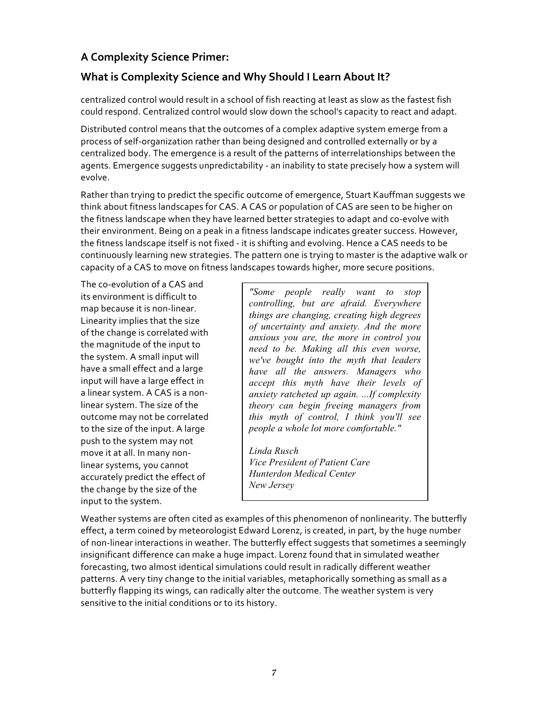## **What is Complexity Science and Why Should I Learn About It?**

centralized control would result in a school of fish reacting at least as slow as the fastest fish could respond. Centralized control would slow down the school's capacity to react and adapt.

Distributed control means that the outcomes of a complex adaptive system emerge from a process of self-organization rather than being designed and controlled externally or by a centralized body. The emergence is a result of the patterns of interrelationships between the agents. Emergence suggests unpredictability - an inability to state precisely how a system will evolve. 

Rather than trying to predict the specific outcome of emergence, Stuart Kauffman suggests we think about fitness landscapes for CAS. A CAS or population of CAS are seen to be higher on the fitness landscape when they have learned better strategies to adapt and co-evolve with their environment. Being on a peak in a fitness landscape indicates greater success. However, the fitness landscape itself is not fixed - it is shifting and evolving. Hence a CAS needs to be continuously learning new strategies. The pattern one is trying to master is the adaptive walk or capacity of a CAS to move on fitness landscapes towards higher, more secure positions.

The co-evolution of a CAS and its environment is difficult to map because it is non-linear. Linearity implies that the size of the change is correlated with the magnitude of the input to the system. A small input will have a small effect and a large input will have a large effect in a linear system. A CAS is a nonlinear system. The size of the outcome may not be correlated to the size of the input. A large push to the system may not move it at all. In many nonlinear systems, you cannot accurately predict the effect of the change by the size of the input to the system.

*"Some people really want to stop controlling, but are afraid. Everywhere things are changing, creating high degrees of uncertainty and anxiety. And the more anxious you are, the more in control you need to be. Making all this even worse, we've bought into the myth that leaders have all the answers. Managers who accept this myth have their levels of anxiety ratcheted up again. ...If complexity theory can begin freeing managers from this myth of control, I think you'll see people a whole lot more comfortable."*

*Linda Rusch Vice President of Patient Care Hunterdon Medical Center New Jersey*

Weather systems are often cited as examples of this phenomenon of nonlinearity. The butterfly effect, a term coined by meteorologist Edward Lorenz, is created, in part, by the huge number of non-linear interactions in weather. The butterfly effect suggests that sometimes a seemingly insignificant difference can make a huge impact. Lorenz found that in simulated weather forecasting, two almost identical simulations could result in radically different weather patterns. A very tiny change to the initial variables, metaphorically something as small as a butterfly flapping its wings, can radically alter the outcome. The weather system is very sensitive to the initial conditions or to its history.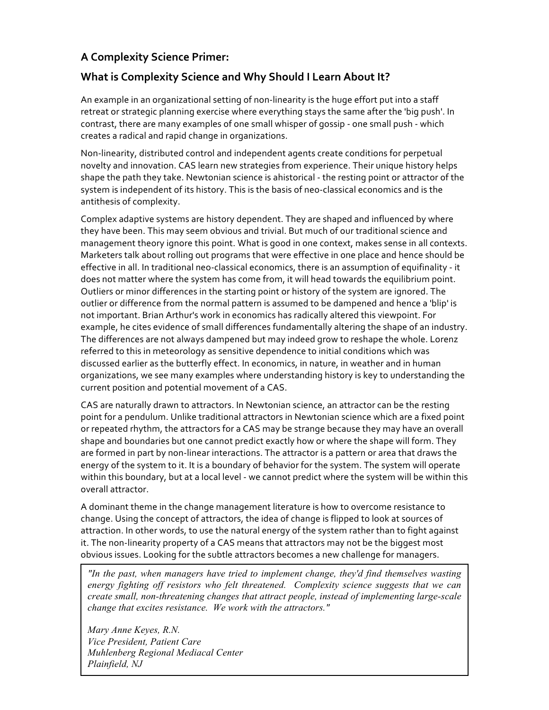## **What is Complexity Science and Why Should I Learn About It?**

An example in an organizational setting of non-linearity is the huge effort put into a staff retreat or strategic planning exercise where everything stays the same after the 'big push'. In contrast, there are many examples of one small whisper of gossip - one small push - which creates a radical and rapid change in organizations.

Non-linearity, distributed control and independent agents create conditions for perpetual novelty and innovation. CAS learn new strategies from experience. Their unique history helps shape the path they take. Newtonian science is ahistorical - the resting point or attractor of the system is independent of its history. This is the basis of neo-classical economics and is the antithesis of complexity.

Complex adaptive systems are history dependent. They are shaped and influenced by where they have been. This may seem obvious and trivial. But much of our traditional science and management theory ignore this point. What is good in one context, makes sense in all contexts. Marketers talk about rolling out programs that were effective in one place and hence should be effective in all. In traditional neo-classical economics, there is an assumption of equifinality - it does not matter where the system has come from, it will head towards the equilibrium point. Outliers or minor differences in the starting point or history of the system are ignored. The outlier or difference from the normal pattern is assumed to be dampened and hence a 'blip' is not important. Brian Arthur's work in economics has radically altered this viewpoint. For example, he cites evidence of small differences fundamentally altering the shape of an industry. The differences are not always dampened but may indeed grow to reshape the whole. Lorenz referred to this in meteorology as sensitive dependence to initial conditions which was discussed earlier as the butterfly effect. In economics, in nature, in weather and in human organizations, we see many examples where understanding history is key to understanding the current position and potential movement of a CAS.

CAS are naturally drawn to attractors. In Newtonian science, an attractor can be the resting point for a pendulum. Unlike traditional attractors in Newtonian science which are a fixed point or repeated rhythm, the attractors for a CAS may be strange because they may have an overall shape and boundaries but one cannot predict exactly how or where the shape will form. They are formed in part by non-linear interactions. The attractor is a pattern or area that draws the energy of the system to it. It is a boundary of behavior for the system. The system will operate within this boundary, but at a local level - we cannot predict where the system will be within this overall attractor.

A dominant theme in the change management literature is how to overcome resistance to change. Using the concept of attractors, the idea of change is flipped to look at sources of attraction. In other words, to use the natural energy of the system rather than to fight against it. The non-linearity property of a CAS means that attractors may not be the biggest most obvious issues. Looking for the subtle attractors becomes a new challenge for managers.

*"In the past, when managers have tried to implement change, they'd find themselves wasting energy fighting off resistors who felt threatened. Complexity science suggests that we can create small, non-threatening changes that attract people, instead of implementing large-scale change that excites resistance. We work with the attractors."*

**8**

*Mary Anne Keyes, R.N. Vice President, Patient Care Muhlenberg Regional Mediacal Center Plainfield, NJ*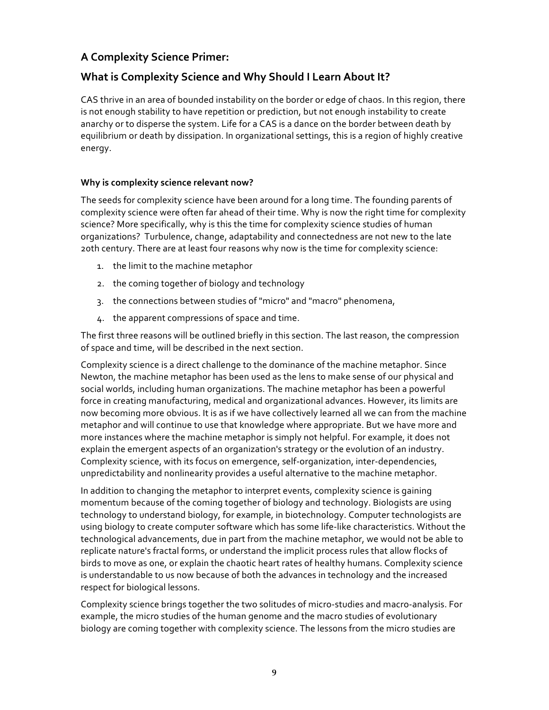## **What is Complexity Science and Why Should I Learn About It?**

CAS thrive in an area of bounded instability on the border or edge of chaos. In this region, there is not enough stability to have repetition or prediction, but not enough instability to create anarchy or to disperse the system. Life for a CAS is a dance on the border between death by equilibrium or death by dissipation. In organizational settings, this is a region of highly creative energy.

#### **Why is complexity science relevant now?**

The seeds for complexity science have been around for a long time. The founding parents of complexity science were often far ahead of their time. Why is now the right time for complexity science? More specifically, why is this the time for complexity science studies of human organizations? Turbulence, change, adaptability and connectedness are not new to the late 20th century. There are at least four reasons why now is the time for complexity science:

- 1. the limit to the machine metaphor
- 2. the coming together of biology and technology
- 3. the connections between studies of "micro" and "macro" phenomena,
- 4. the apparent compressions of space and time.

The first three reasons will be outlined briefly in this section. The last reason, the compression of space and time, will be described in the next section.

Complexity science is a direct challenge to the dominance of the machine metaphor. Since Newton, the machine metaphor has been used as the lens to make sense of our physical and social worlds, including human organizations. The machine metaphor has been a powerful force in creating manufacturing, medical and organizational advances. However, its limits are now becoming more obvious. It is as if we have collectively learned all we can from the machine metaphor and will continue to use that knowledge where appropriate. But we have more and more instances where the machine metaphor is simply not helpful. For example, it does not explain the emergent aspects of an organization's strategy or the evolution of an industry. Complexity science, with its focus on emergence, self-organization, inter-dependencies, unpredictability and nonlinearity provides a useful alternative to the machine metaphor.

In addition to changing the metaphor to interpret events, complexity science is gaining momentum because of the coming together of biology and technology. Biologists are using technology to understand biology, for example, in biotechnology. Computer technologists are using biology to create computer software which has some life-like characteristics. Without the technological advancements, due in part from the machine metaphor, we would not be able to replicate nature's fractal forms, or understand the implicit process rules that allow flocks of birds to move as one, or explain the chaotic heart rates of healthy humans. Complexity science is understandable to us now because of both the advances in technology and the increased respect for biological lessons.

Complexity science brings together the two solitudes of micro-studies and macro-analysis. For example, the micro studies of the human genome and the macro studies of evolutionary biology are coming together with complexity science. The lessons from the micro studies are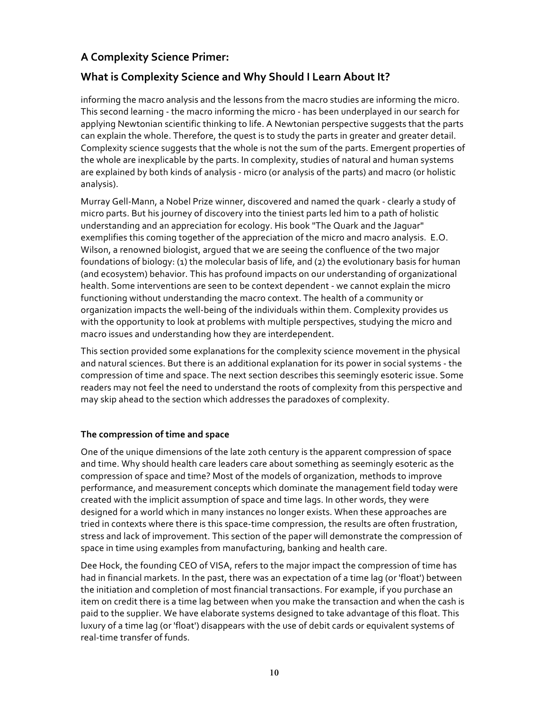## **What is Complexity Science and Why Should I Learn About It?**

informing the macro analysis and the lessons from the macro studies are informing the micro. This second learning - the macro informing the micro - has been underplayed in our search for applying Newtonian scientific thinking to life. A Newtonian perspective suggests that the parts can explain the whole. Therefore, the quest is to study the parts in greater and greater detail. Complexity science suggests that the whole is not the sum of the parts. Emergent properties of the whole are inexplicable by the parts. In complexity, studies of natural and human systems are explained by both kinds of analysis - micro (or analysis of the parts) and macro (or holistic analysis).

Murray Gell-Mann, a Nobel Prize winner, discovered and named the quark - clearly a study of micro parts. But his journey of discovery into the tiniest parts led him to a path of holistic understanding and an appreciation for ecology. His book "The Quark and the Jaguar" exemplifies this coming together of the appreciation of the micro and macro analysis. E.O. Wilson, a renowned biologist, argued that we are seeing the confluence of the two major foundations of biology: (1) the molecular basis of life, and (2) the evolutionary basis for human (and ecosystem) behavior. This has profound impacts on our understanding of organizational health. Some interventions are seen to be context dependent - we cannot explain the micro functioning without understanding the macro context. The health of a community or organization impacts the well-being of the individuals within them. Complexity provides us with the opportunity to look at problems with multiple perspectives, studying the micro and macro issues and understanding how they are interdependent.

This section provided some explanations for the complexity science movement in the physical and natural sciences. But there is an additional explanation for its power in social systems - the compression of time and space. The next section describes this seemingly esoteric issue. Some readers may not feel the need to understand the roots of complexity from this perspective and may skip ahead to the section which addresses the paradoxes of complexity.

#### The compression of time and space

One of the unique dimensions of the late 20th century is the apparent compression of space and time. Why should health care leaders care about something as seemingly esoteric as the compression of space and time? Most of the models of organization, methods to improve performance, and measurement concepts which dominate the management field today were created with the implicit assumption of space and time lags. In other words, they were designed for a world which in many instances no longer exists. When these approaches are tried in contexts where there is this space-time compression, the results are often frustration, stress and lack of improvement. This section of the paper will demonstrate the compression of space in time using examples from manufacturing, banking and health care.

Dee Hock, the founding CEO of VISA, refers to the major impact the compression of time has had in financial markets. In the past, there was an expectation of a time lag (or 'float') between the initiation and completion of most financial transactions. For example, if you purchase an item on credit there is a time lag between when you make the transaction and when the cash is paid to the supplier. We have elaborate systems designed to take advantage of this float. This luxury of a time lag (or 'float') disappears with the use of debit cards or equivalent systems of real-time transfer of funds.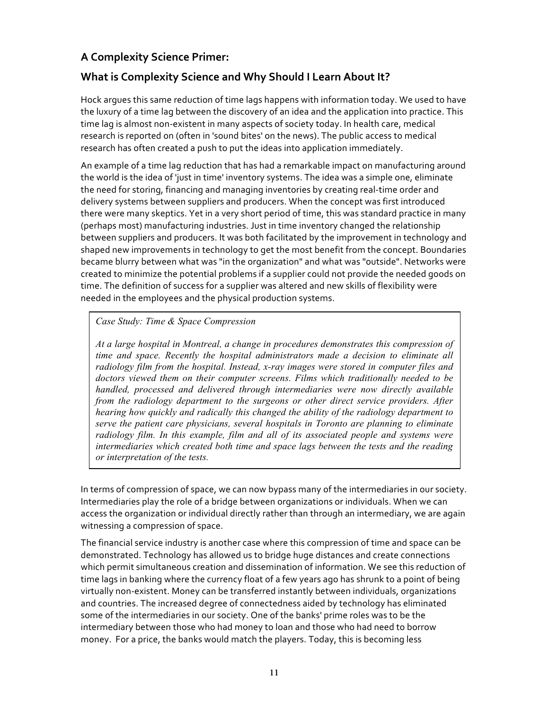# **What is Complexity Science and Why Should I Learn About It?**

Hock argues this same reduction of time lags happens with information today. We used to have the luxury of a time lag between the discovery of an idea and the application into practice. This time lag is almost non-existent in many aspects of society today. In health care, medical research is reported on (often in 'sound bites' on the news). The public access to medical research has often created a push to put the ideas into application immediately.

An example of a time lag reduction that has had a remarkable impact on manufacturing around the world is the idea of 'just in time' inventory systems. The idea was a simple one, eliminate the need for storing, financing and managing inventories by creating real-time order and delivery systems between suppliers and producers. When the concept was first introduced there were many skeptics. Yet in a very short period of time, this was standard practice in many (perhaps most) manufacturing industries. Just in time inventory changed the relationship between suppliers and producers. It was both facilitated by the improvement in technology and shaped new improvements in technology to get the most benefit from the concept. Boundaries became blurry between what was "in the organization" and what was "outside". Networks were created to minimize the potential problems if a supplier could not provide the needed goods on time. The definition of success for a supplier was altered and new skills of flexibility were needed in the employees and the physical production systems.

#### *Case Study: Time & Space Compression*

*At a large hospital in Montreal, a change in procedures demonstrates this compression of time and space. Recently the hospital administrators made a decision to eliminate all radiology film from the hospital. Instead, x-ray images were stored in computer files and doctors viewed them on their computer screens. Films which traditionally needed to be handled, processed and delivered through intermediaries were now directly available from the radiology department to the surgeons or other direct service providers. After hearing how quickly and radically this changed the ability of the radiology department to serve the patient care physicians, several hospitals in Toronto are planning to eliminate radiology film. In this example, film and all of its associated people and systems were intermediaries which created both time and space lags between the tests and the reading or interpretation of the tests.*

In terms of compression of space, we can now bypass many of the intermediaries in our society. Intermediaries play the role of a bridge between organizations or individuals. When we can access the organization or individual directly rather than through an intermediary, we are again witnessing a compression of space.

The financial service industry is another case where this compression of time and space can be demonstrated. Technology has allowed us to bridge huge distances and create connections which permit simultaneous creation and dissemination of information. We see this reduction of time lags in banking where the currency float of a few years ago has shrunk to a point of being virtually non-existent. Money can be transferred instantly between individuals, organizations and countries. The increased degree of connectedness aided by technology has eliminated some of the intermediaries in our society. One of the banks' prime roles was to be the intermediary between those who had money to loan and those who had need to borrow money. For a price, the banks would match the players. Today, this is becoming less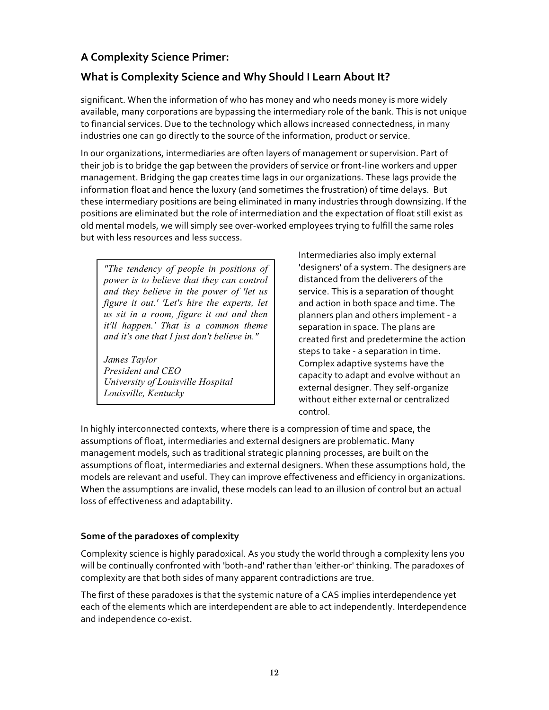# **What is Complexity Science and Why Should I Learn About It?**

significant. When the information of who has money and who needs money is more widely available, many corporations are bypassing the intermediary role of the bank. This is not unique to financial services. Due to the technology which allows increased connectedness, in many industries one can go directly to the source of the information, product or service.

In our organizations, intermediaries are often layers of management or supervision. Part of their job is to bridge the gap between the providers of service or front-line workers and upper management. Bridging the gap creates time lags in our organizations. These lags provide the information float and hence the luxury (and sometimes the frustration) of time delays. But these intermediary positions are being eliminated in many industries through downsizing. If the positions are eliminated but the role of intermediation and the expectation of float still exist as old mental models, we will simply see over-worked employees trying to fulfill the same roles but with less resources and less success.

*"The tendency of people in positions of power is to believe that they can control and they believe in the power of 'let us figure it out.' 'Let's hire the experts, let us sit in a room, figure it out and then it'll happen.' That is a common theme and it's one that I just don't believe in."*

*James Taylor President and CEO University of Louisville Hospital Louisville, Kentucky*

Intermediaries also imply external 'designers' of a system. The designers are distanced from the deliverers of the service. This is a separation of thought and action in both space and time. The planners plan and others implement - a separation in space. The plans are created first and predetermine the action steps to take - a separation in time. Complex adaptive systems have the capacity to adapt and evolve without an external designer. They self-organize without either external or centralized control.

In highly interconnected contexts, where there is a compression of time and space, the assumptions of float, intermediaries and external designers are problematic. Many management models, such as traditional strategic planning processes, are built on the assumptions of float, intermediaries and external designers. When these assumptions hold, the models are relevant and useful. They can improve effectiveness and efficiency in organizations. When the assumptions are invalid, these models can lead to an illusion of control but an actual loss of effectiveness and adaptability.

#### **Some of the paradoxes of complexity**

Complexity science is highly paradoxical. As you study the world through a complexity lens you will be continually confronted with 'both-and' rather than 'either-or' thinking. The paradoxes of complexity are that both sides of many apparent contradictions are true.

The first of these paradoxes is that the systemic nature of a CAS implies interdependence yet each of the elements which are interdependent are able to act independently. Interdependence and independence co-exist.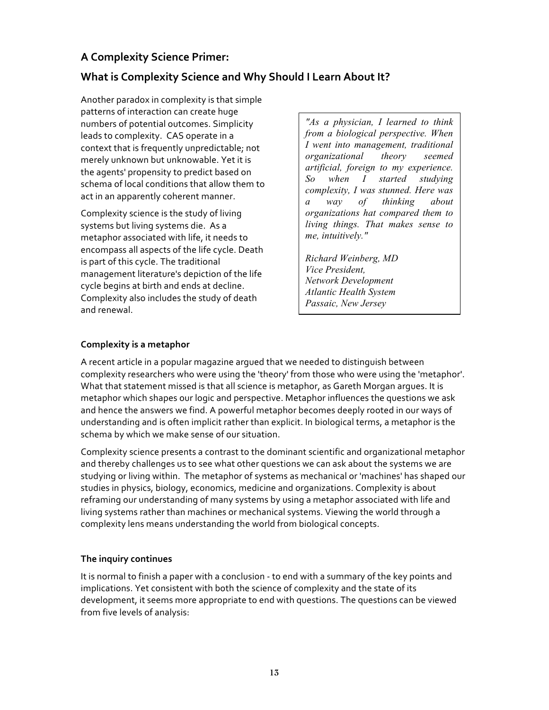# **What is Complexity Science and Why Should I Learn About It?**

Another paradox in complexity is that simple patterns of interaction can create huge numbers of potential outcomes. Simplicity leads to complexity. CAS operate in a context that is frequently unpredictable; not merely unknown but unknowable. Yet it is the agents' propensity to predict based on schema of local conditions that allow them to act in an apparently coherent manner.

Complexity science is the study of living systems but living systems die. As a metaphor associated with life, it needs to encompass all aspects of the life cycle. Death is part of this cycle. The traditional management literature's depiction of the life cycle begins at birth and ends at decline. Complexity also includes the study of death and renewal.

*"As a physician, I learned to think from a biological perspective. When I went into management, traditional organizational theory seemed artificial, foreign to my experience. So when I started studying complexity, I was stunned. Here was a way of thinking about organizations hat compared them to living things. That makes sense to me, intuitively."*

*Richard Weinberg, MD Vice President, Network Development Atlantic Health System Passaic, New Jersey*

#### **Complexity is a metaphor**

A recent article in a popular magazine argued that we needed to distinguish between complexity researchers who were using the 'theory' from those who were using the 'metaphor'. What that statement missed is that all science is metaphor, as Gareth Morgan argues. It is metaphor which shapes our logic and perspective. Metaphor influences the questions we ask and hence the answers we find. A powerful metaphor becomes deeply rooted in our ways of understanding and is often implicit rather than explicit. In biological terms, a metaphor is the schema by which we make sense of our situation.

Complexity science presents a contrast to the dominant scientific and organizational metaphor and thereby challenges us to see what other questions we can ask about the systems we are studying or living within. The metaphor of systems as mechanical or 'machines' has shaped our studies in physics, biology, economics, medicine and organizations. Complexity is about reframing our understanding of many systems by using a metaphor associated with life and living systems rather than machines or mechanical systems. Viewing the world through a complexity lens means understanding the world from biological concepts.

#### **The inquiry continues**

It is normal to finish a paper with a conclusion - to end with a summary of the key points and implications. Yet consistent with both the science of complexity and the state of its development, it seems more appropriate to end with questions. The questions can be viewed from five levels of analysis: